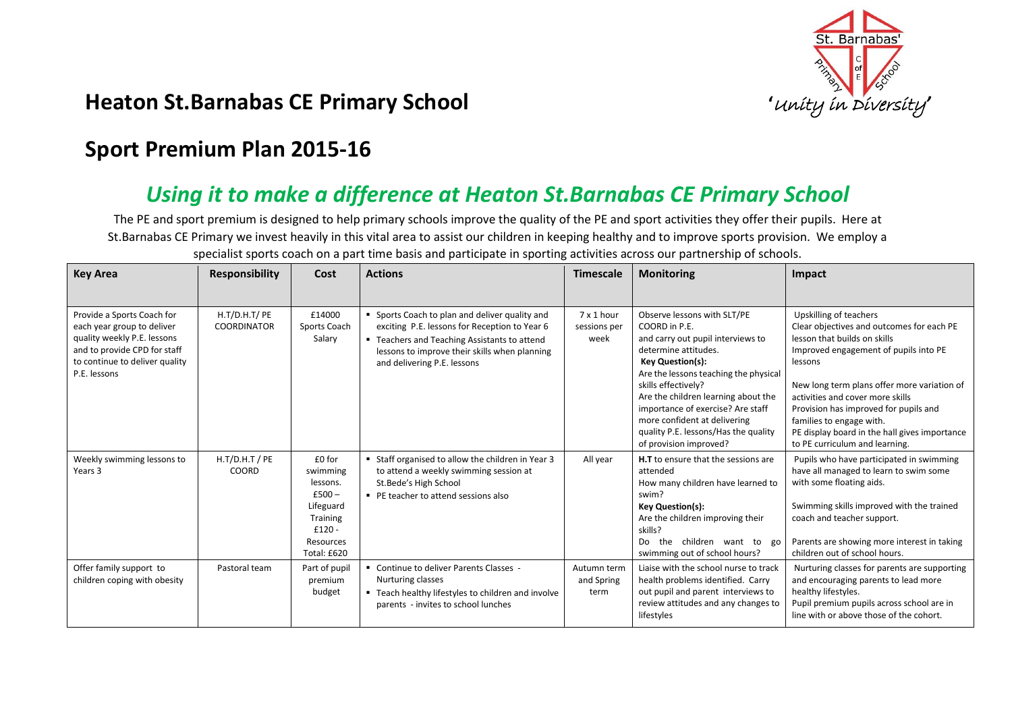

## **Heaton St.Barnabas CE Primary School** *intersty*

## **Sport Premium Plan 2015-16**

## *Using it to make a difference at Heaton St.Barnabas CE Primary School*

The PE and sport premium is designed to help primary schools improve the quality of the PE and sport activities they offer their pupils. Here at St.Barnabas CE Primary we invest heavily in this vital area to assist our children in keeping healthy and to improve sports provision. We employ a

| <b>Key Area</b>                                                                                                                                                           | <b>Responsibility</b>               | Cost                                                                                                              | <b>Actions</b>                                                                                                                                                                                                                  | <b>Timescale</b>                   | <b>Monitoring</b>                                                                                                                                                                                                                                                                                                                                                                  | Impact                                                                                                                                                                                                                                                                                                                                                                                             |
|---------------------------------------------------------------------------------------------------------------------------------------------------------------------------|-------------------------------------|-------------------------------------------------------------------------------------------------------------------|---------------------------------------------------------------------------------------------------------------------------------------------------------------------------------------------------------------------------------|------------------------------------|------------------------------------------------------------------------------------------------------------------------------------------------------------------------------------------------------------------------------------------------------------------------------------------------------------------------------------------------------------------------------------|----------------------------------------------------------------------------------------------------------------------------------------------------------------------------------------------------------------------------------------------------------------------------------------------------------------------------------------------------------------------------------------------------|
|                                                                                                                                                                           |                                     |                                                                                                                   |                                                                                                                                                                                                                                 |                                    |                                                                                                                                                                                                                                                                                                                                                                                    |                                                                                                                                                                                                                                                                                                                                                                                                    |
| Provide a Sports Coach for<br>each year group to deliver<br>quality weekly P.E. lessons<br>and to provide CPD for staff<br>to continue to deliver quality<br>P.E. lessons | H.T/D.H.T/ PE<br><b>COORDINATOR</b> | £14000<br>Sports Coach<br>Salary                                                                                  | • Sports Coach to plan and deliver quality and<br>exciting P.E. lessons for Reception to Year 6<br>" Teachers and Teaching Assistants to attend<br>lessons to improve their skills when planning<br>and delivering P.E. lessons | $7x1$ hour<br>sessions per<br>week | Observe lessons with SLT/PE<br>COORD in P.E.<br>and carry out pupil interviews to<br>determine attitudes.<br><b>Key Question(s):</b><br>Are the lessons teaching the physical<br>skills effectively?<br>Are the children learning about the<br>importance of exercise? Are staff<br>more confident at delivering<br>quality P.E. lessons/Has the quality<br>of provision improved? | Upskilling of teachers<br>Clear objectives and outcomes for each PE<br>lesson that builds on skills<br>Improved engagement of pupils into PE<br>lessons<br>New long term plans offer more variation of<br>activities and cover more skills<br>Provision has improved for pupils and<br>families to engage with.<br>PE display board in the hall gives importance<br>to PE curriculum and learning. |
| Weekly swimming lessons to<br>Years 3                                                                                                                                     | $H.T/D.H.T$ / PE<br>COORD           | £0 for<br>swimming<br>lessons.<br>$£500-$<br>Lifeguard<br><b>Training</b><br>$£120 -$<br>Resources<br>Total: £620 | " Staff organised to allow the children in Year 3<br>to attend a weekly swimming session at<br>St.Bede's High School<br>• PE teacher to attend sessions also                                                                    | All year                           | <b>H.T</b> to ensure that the sessions are<br>attended<br>How many children have learned to<br>swim?<br><b>Key Question(s):</b><br>Are the children improving their<br>skills?<br>the children want to go<br>Do.<br>swimming out of school hours?                                                                                                                                  | Pupils who have participated in swimming<br>have all managed to learn to swim some<br>with some floating aids.<br>Swimming skills improved with the trained<br>coach and teacher support.<br>Parents are showing more interest in taking<br>children out of school hours.                                                                                                                          |
| Offer family support to<br>children coping with obesity                                                                                                                   | Pastoral team                       | Part of pupil<br>premium<br>budget                                                                                | • Continue to deliver Parents Classes -<br>Nurturing classes<br>" Teach healthy lifestyles to children and involve<br>parents - invites to school lunches                                                                       | Autumn term<br>and Spring<br>term  | Liaise with the school nurse to track<br>health problems identified. Carry<br>out pupil and parent interviews to<br>review attitudes and any changes to<br>lifestyles                                                                                                                                                                                                              | Nurturing classes for parents are supporting<br>and encouraging parents to lead more<br>healthy lifestyles.<br>Pupil premium pupils across school are in<br>line with or above those of the cohort.                                                                                                                                                                                                |

specialist sports coach on a part time basis and participate in sporting activities across our partnership of schools.